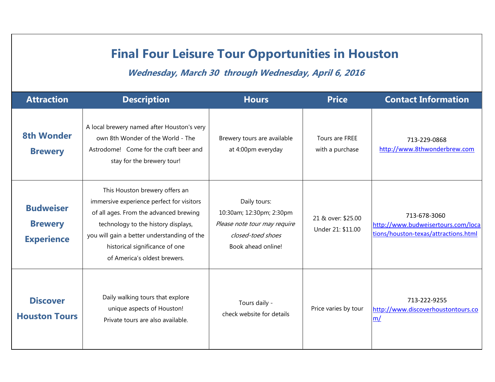## **Final Four Leisure Tour Opportunities in Houston**

**Wednesday, March 30 through Wednesday, April 6, 2016**

| <b>Attraction</b>                                       | <b>Description</b>                                                                                                                                                                                                                                                            | <b>Hours</b>                                                                                                        | <b>Price</b>                            | <b>Contact Information</b>                                                                 |
|---------------------------------------------------------|-------------------------------------------------------------------------------------------------------------------------------------------------------------------------------------------------------------------------------------------------------------------------------|---------------------------------------------------------------------------------------------------------------------|-----------------------------------------|--------------------------------------------------------------------------------------------|
| <b>8th Wonder</b><br><b>Brewery</b>                     | A local brewery named after Houston's very<br>own 8th Wonder of the World - The<br>Astrodome! Come for the craft beer and<br>stay for the brewery tour!                                                                                                                       | Brewery tours are available<br>at 4:00pm everyday                                                                   | Tours are FREE<br>with a purchase       | 713-229-0868<br>http://www.8thwonderbrew.com                                               |
| <b>Budweiser</b><br><b>Brewery</b><br><b>Experience</b> | This Houston brewery offers an<br>immersive experience perfect for visitors<br>of all ages. From the advanced brewing<br>technology to the history displays,<br>you will gain a better understanding of the<br>historical significance of one<br>of America's oldest brewers. | Daily tours:<br>10:30am; 12:30pm; 2:30pm<br>Please note tour may require<br>closed-toed shoes<br>Book ahead online! | 21 & over: \$25.00<br>Under 21: \$11.00 | 713-678-3060<br>http://www.budweisertours.com/loca<br>tions/houston-texas/attractions.html |
| <b>Discover</b><br><b>Houston Tours</b>                 | Daily walking tours that explore<br>unique aspects of Houston!<br>Private tours are also available.                                                                                                                                                                           | Tours daily -<br>check website for details                                                                          | Price varies by tour                    | 713-222-9255<br>http://www.discoverhoustontours.co<br>m/                                   |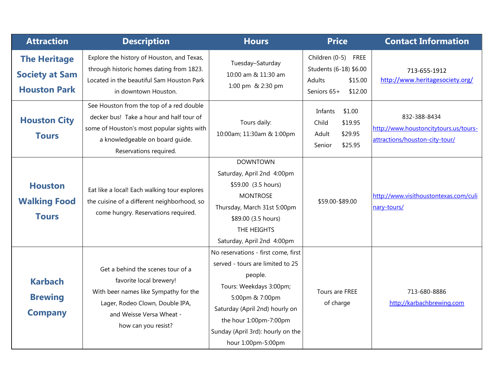| <b>Attraction</b>                                                   | <b>Description</b>                                                                                                                                                                              | <b>Hours</b>                                                                                                                                                                                                                                            | <b>Price</b>                                                                                           | <b>Contact Information</b>                                                              |
|---------------------------------------------------------------------|-------------------------------------------------------------------------------------------------------------------------------------------------------------------------------------------------|---------------------------------------------------------------------------------------------------------------------------------------------------------------------------------------------------------------------------------------------------------|--------------------------------------------------------------------------------------------------------|-----------------------------------------------------------------------------------------|
| <b>The Heritage</b><br><b>Society at Sam</b><br><b>Houston Park</b> | Explore the history of Houston, and Texas,<br>through historic homes dating from 1823.<br>Located in the beautiful Sam Houston Park<br>in downtown Houston.                                     | Tuesday-Saturday<br>10:00 am & 11:30 am<br>1:00 pm & 2:30 pm                                                                                                                                                                                            | Children (0-5)<br><b>FREE</b><br>Students (6-18) \$6.00<br>Adults<br>\$15.00<br>Seniors 65+<br>\$12.00 | 713-655-1912<br>http://www.heritagesociety.org/                                         |
| <b>Houston City</b><br><b>Tours</b>                                 | See Houston from the top of a red double<br>decker bus! Take a hour and half tour of<br>some of Houston's most popular sights with<br>a knowledgeable on board guide.<br>Reservations required. | Tours daily:<br>10:00am; 11:30am & 1:00pm                                                                                                                                                                                                               | \$1.00<br>Infants<br>\$19.95<br>Child<br>\$29.95<br>Adult<br>\$25.95<br>Senior                         | 832-388-8434<br>http://www.houstoncitytours.us/tours-<br>attractions/houston-city-tour/ |
| <b>Houston</b><br><b>Walking Food</b><br><b>Tours</b>               | Eat like a local! Each walking tour explores<br>the cuisine of a different neighborhood, so<br>come hungry. Reservations required.                                                              | <b>DOWNTOWN</b><br>Saturday, April 2nd 4:00pm<br>\$59.00 (3.5 hours)<br><b>MONTROSE</b><br>Thursday, March 31st 5:00pm<br>\$89.00 (3.5 hours)<br>THE HEIGHTS<br>Saturday, April 2nd 4:00pm                                                              | \$59.00-\$89.00                                                                                        | http://www.visithoustontexas.com/culi<br>nary-tours/                                    |
| <b>Karbach</b><br><b>Brewing</b><br><b>Company</b>                  | Get a behind the scenes tour of a<br>favorite local brewery!<br>With beer names like Sympathy for the<br>Lager, Rodeo Clown, Double IPA,<br>and Weisse Versa Wheat -<br>how can you resist?     | No reservations - first come, first<br>served - tours are limited to 25<br>people.<br>Tours: Weekdays 3:00pm;<br>5:00pm & 7:00pm<br>Saturday (April 2nd) hourly on<br>the hour 1:00pm-7:00pm<br>Sunday (April 3rd): hourly on the<br>hour 1:00pm-5:00pm | Tours are FREE<br>of charge                                                                            | 713-680-8886<br>http://karbachbrewing.com                                               |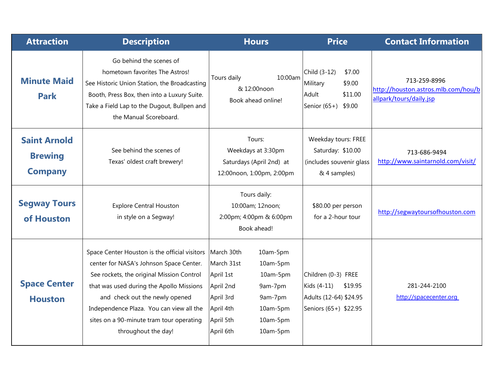| <b>Attraction</b>                                       | <b>Description</b>                                                                                                                                                                                                                                                                                                                 | <b>Hours</b>                                                                                                                                                                                         | <b>Price</b>                                                                                     | <b>Contact Information</b>                                                     |
|---------------------------------------------------------|------------------------------------------------------------------------------------------------------------------------------------------------------------------------------------------------------------------------------------------------------------------------------------------------------------------------------------|------------------------------------------------------------------------------------------------------------------------------------------------------------------------------------------------------|--------------------------------------------------------------------------------------------------|--------------------------------------------------------------------------------|
| <b>Minute Maid</b><br><b>Park</b>                       | Go behind the scenes of<br>hometown favorites The Astros!<br>See Historic Union Station, the Broadcasting<br>Booth, Press Box, then into a Luxury Suite.<br>Take a Field Lap to the Dugout, Bullpen and<br>the Manual Scoreboard.                                                                                                  | 10:00am<br>Tours daily<br>& 12:00noon<br>Book ahead online!                                                                                                                                          | Child (3-12)<br>\$7.00<br>Military<br>\$9.00<br>\$11.00<br>Adult<br>Senior $(65+)$<br>\$9.00     | 713-259-8996<br>http://houston.astros.mlb.com/hou/b<br>allpark/tours/daily.jsp |
| <b>Saint Arnold</b><br><b>Brewing</b><br><b>Company</b> | See behind the scenes of<br>Texas' oldest craft brewery!                                                                                                                                                                                                                                                                           | Tours:<br>Weekdays at 3:30pm<br>Saturdays (April 2nd) at<br>12:00noon, 1:00pm, 2:00pm                                                                                                                | Weekday tours: FREE<br>Saturday: \$10.00<br>(includes souvenir glass<br>& 4 samples)             | 713-686-9494<br>http://www.saintarnold.com/visit/                              |
| <b>Segway Tours</b><br>of Houston                       | <b>Explore Central Houston</b><br>in style on a Segway!                                                                                                                                                                                                                                                                            | Tours daily:<br>10:00am; 12noon;<br>2:00pm; 4:00pm & 6:00pm<br>Book ahead!                                                                                                                           | \$80.00 per person<br>for a 2-hour tour                                                          | http://segwaytoursofhouston.com                                                |
| <b>Space Center</b><br><b>Houston</b>                   | Space Center Houston is the official visitors<br>center for NASA's Johnson Space Center.<br>See rockets, the original Mission Control<br>that was used during the Apollo Missions<br>and check out the newly opened<br>Independence Plaza. You can view all the<br>sites on a 90-minute tram tour operating<br>throughout the day! | March 30th<br>10am-5pm<br>March 31st<br>10am-5pm<br>April 1st<br>10am-5pm<br>April 2nd<br>9am-7pm<br>April 3rd<br>9am-7pm<br>April 4th<br>10am-5pm<br>April 5th<br>10am-5pm<br>April 6th<br>10am-5pm | Children (0-3) FREE<br>Kids (4-11)<br>\$19.95<br>Adults (12-64) \$24.95<br>Seniors (65+) \$22.95 | 281-244-2100<br>http://spacecenter.org                                         |